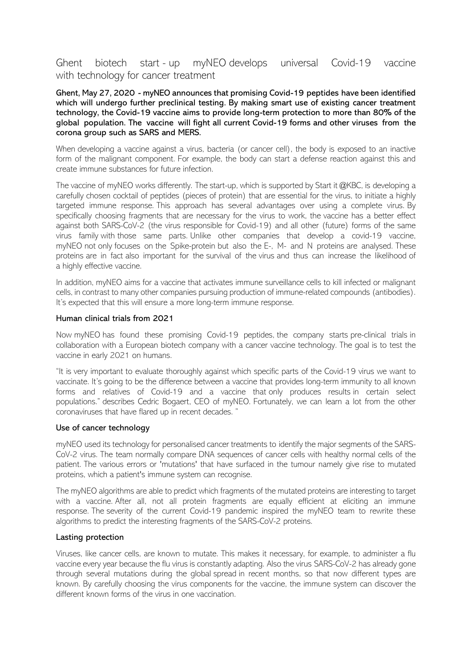# Ghent biotech start - up myNEO develops universal Covid-19 vaccine with technology for cancer treatment

Ghent, May 27, 2020 - myNEO announces that promising Covid-19 peptides have been identified which will undergo further preclinical testing. By making smart use of existing cancer treatment technology, the Covid-19 vaccine aims to provide long-term protection to more than 80% of the global population. The vaccine will fight all current Covid-19 forms and other viruses from the corona group such as SARS and MERS.

When developing a vaccine against a virus, bacteria (or cancer cell), the body is exposed to an inactive form of the malignant component. For example, the body can start a defense reaction against this and create immune substances for future infection.

The vaccine of myNEO works differently. The start-up, which is supported by Start it @KBC, is developing a carefully chosen cocktail of peptides (pieces of protein) that are essential for the virus, to initiate a highly targeted immune response. This approach has several advantages over using a complete virus. By specifically choosing fragments that are necessary for the virus to work, the vaccine has a better effect against both SARS-CoV-2 (the virus responsible for Covid-19) and all other (future) forms of the same virus family with those same parts. Unlike other companies that develop a covid-19 vaccine, myNEO not only focuses on the Spike-protein but also the E-, M- and N proteins are analysed. These proteins are in fact also important for the survival of the virus and thus can increase the likelihood of a highly effective vaccine.

In addition, myNEO aims for a vaccine that activates immune surveillance cells to kill infected or malignant cells, in contrast to many other companies pursuing production of immune-related compounds (antibodies). It's expected that this will ensure a more long-term immune response.

## Human clinical trials from 2021

Now myNEO has found these promising Covid-19 peptides, the company starts pre-clinical trials in collaboration with a European biotech company with a cancer vaccine technology. The goal is to test the vaccine in early 2021 on humans.

"It is very important to evaluate thoroughly against which specific parts of the Covid-19 virus we want to vaccinate. It's going to be the difference between a vaccine that provides long-term immunity to all known forms and relatives of Covid-19 and a vaccine that only produces results in certain select populations." describes Cedric Bogaert, CEO of myNEO. Fortunately, we can learn a lot from the other coronaviruses that have flared up in recent decades. "

#### Use of cancer technology

myNEO used its technology for personalised cancer treatments to identify the major segments of the SARS-CoV-2 virus. The team normally compare DNA sequences of cancer cells with healthy normal cells of the patient. The various errors or 'mutations' that have surfaced in the tumour namely give rise to mutated proteins, which a patient's immune system can recognise.

The myNEO algorithms are able to predict which fragments of the mutated proteins are interesting to target with a vaccine. After all, not all protein fragments are equally efficient at eliciting an immune response. The severity of the current Covid-19 pandemic inspired the myNEO team to rewrite these algorithms to predict the interesting fragments of the SARS-CoV-2 proteins.

## Lasting protection

Viruses, like cancer cells, are known to mutate. This makes it necessary, for example, to administer a flu vaccine every year because the flu virus is constantly adapting. Also the virus SARS-CoV-2 has already gone through several mutations during the global spread in recent months, so that now different types are known. By carefully choosing the virus components for the vaccine, the immune system can discover the different known forms of the virus in one vaccination.